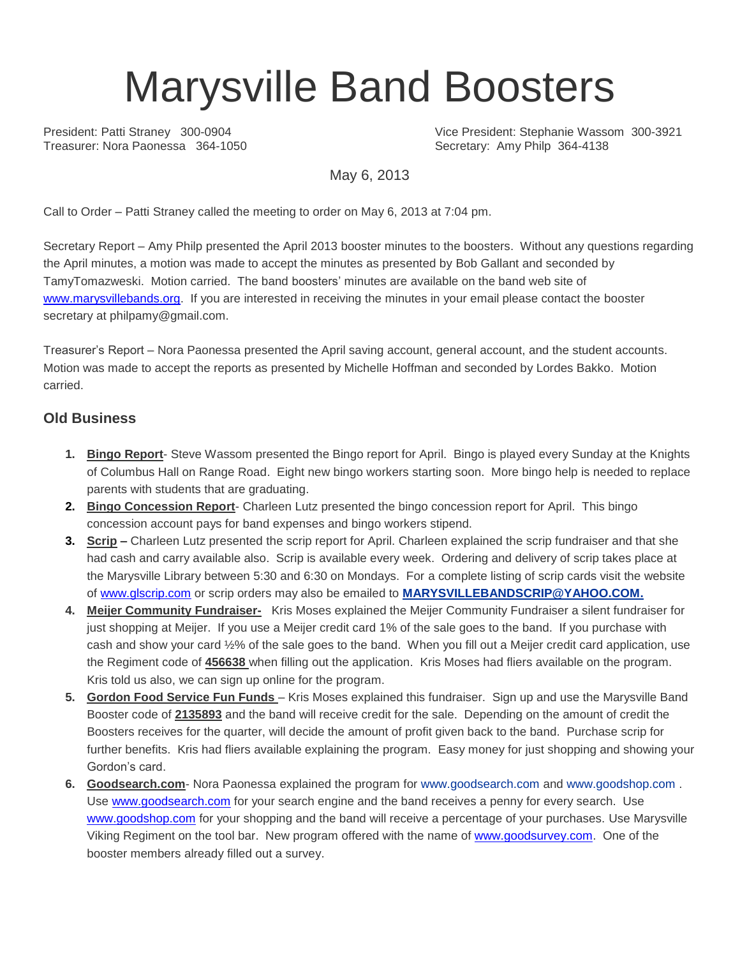# Marysville Band Boosters

President: Patti Straney 300-0904 Vice President: Stephanie Wassom 300-3921<br>
Treasurer: Nora Paonessa 364-1050 Vice President: Amy Philp 364-4138 Secretary: Amy Philp 364-4138

May 6, 2013

Call to Order – Patti Straney called the meeting to order on May 6, 2013 at 7:04 pm.

Secretary Report – Amy Philp presented the April 2013 booster minutes to the boosters. Without any questions regarding the April minutes, a motion was made to accept the minutes as presented by Bob Gallant and seconded by TamyTomazweski. Motion carried. The band boosters' minutes are available on the band web site of [www.marysvillebands.org.](http://www.marysvillebands.org/) If you are interested in receiving the minutes in your email please contact the booster secretary at philpamy@gmail.com.

Treasurer's Report – Nora Paonessa presented the April saving account, general account, and the student accounts. Motion was made to accept the reports as presented by Michelle Hoffman and seconded by Lordes Bakko. Motion carried.

### **Old Business**

- **1. Bingo Report** Steve Wassom presented the Bingo report for April. Bingo is played every Sunday at the Knights of Columbus Hall on Range Road. Eight new bingo workers starting soon. More bingo help is needed to replace parents with students that are graduating.
- **2. Bingo Concession Report** Charleen Lutz presented the bingo concession report for April. This bingo concession account pays for band expenses and bingo workers stipend.
- **3. Scrip –** Charleen Lutz presented the scrip report for April. Charleen explained the scrip fundraiser and that she had cash and carry available also. Scrip is available every week. Ordering and delivery of scrip takes place at the Marysville Library between 5:30 and 6:30 on Mondays. For a complete listing of scrip cards visit the website of [www.glscrip.com](http://www.glscrip.com/) or scrip orders may also be emailed to **[MARYSVILLEBANDSCRIP@YAHOO.COM.](http://us.f838.mail.yahoo.com/ym/Compose?To=MARYSVILLEBANDSCRIP@YAHOO.COM%20/%20_blank)**
- **4. Meijer Community Fundraiser-** Kris Moses explained the Meijer Community Fundraiser a silent fundraiser for just shopping at Meijer. If you use a Meijer credit card 1% of the sale goes to the band. If you purchase with cash and show your card ½% of the sale goes to the band. When you fill out a Meijer credit card application, use the Regiment code of **456638** when filling out the application. Kris Moses had fliers available on the program. Kris told us also, we can sign up online for the program.
- **5. Gordon Food Service Fun Funds**  Kris Moses explained this fundraiser. Sign up and use the Marysville Band Booster code of **2135893** and the band will receive credit for the sale. Depending on the amount of credit the Boosters receives for the quarter, will decide the amount of profit given back to the band. Purchase scrip for further benefits. Kris had fliers available explaining the program. Easy money for just shopping and showing your Gordon's card.
- **6. Goodsearch.com** Nora Paonessa explained the program for [www.goodsearch.com](http://www.goodsearch.com/) and [www.goodshop.com](http://www.goodshop.com/) . Use [www.goodsearch.com](http://www.goodsearch.com/) for your search engine and the band receives a penny for every search. Use [www.goodshop.com](http://www.goodshop.com/) for your shopping and the band will receive a percentage of your purchases. Use Marysville Viking Regiment on the tool bar. New program offered with the name of [www.goodsurvey.com.](http://www.goodsurvey.com/) One of the booster members already filled out a survey.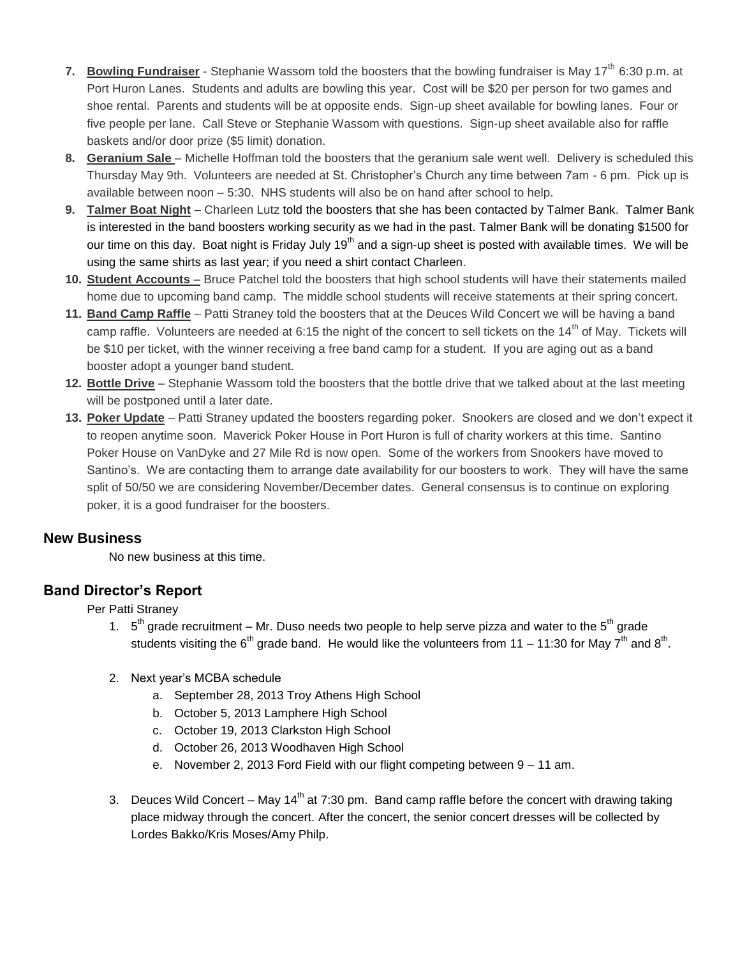- **7.** Bowling Fundraiser Stephanie Wassom told the boosters that the bowling fundraiser is May 17<sup>th</sup> 6:30 p.m. at Port Huron Lanes. Students and adults are bowling this year. Cost will be \$20 per person for two games and shoe rental. Parents and students will be at opposite ends. Sign-up sheet available for bowling lanes. Four or five people per lane. Call Steve or Stephanie Wassom with questions. Sign-up sheet available also for raffle baskets and/or door prize (\$5 limit) donation.
- **8.** Geranium Sale Michelle Hoffman told the boosters that the geranium sale went well. Delivery is scheduled this Thursday May 9th. Volunteers are needed at St. Christopher's Church any time between 7am - 6 pm. Pick up is available between noon – 5:30. NHS students will also be on hand after school to help.
- **9. Talmer Boat Night –** Charleen Lutz told the boosters that she has been contacted by Talmer Bank. Talmer Bank is interested in the band boosters working security as we had in the past. Talmer Bank will be donating \$1500 for our time on this day. Boat night is Friday July 19<sup>th</sup> and a sign-up sheet is posted with available times. We will be using the same shirts as last year; if you need a shirt contact Charleen.
- **10. Student Accounts** Bruce Patchel told the boosters that high school students will have their statements mailed home due to upcoming band camp. The middle school students will receive statements at their spring concert.
- **11. Band Camp Raffle** Patti Straney told the boosters that at the Deuces Wild Concert we will be having a band camp raffle. Volunteers are needed at 6:15 the night of the concert to sell tickets on the 14<sup>th</sup> of May. Tickets will be \$10 per ticket, with the winner receiving a free band camp for a student. If you are aging out as a band booster adopt a younger band student.
- **12. Bottle Drive** Stephanie Wassom told the boosters that the bottle drive that we talked about at the last meeting will be postponed until a later date.
- **13. Poker Update** Patti Straney updated the boosters regarding poker. Snookers are closed and we don't expect it to reopen anytime soon. Maverick Poker House in Port Huron is full of charity workers at this time. Santino Poker House on VanDyke and 27 Mile Rd is now open. Some of the workers from Snookers have moved to Santino's. We are contacting them to arrange date availability for our boosters to work. They will have the same split of 50/50 we are considering November/December dates. General consensus is to continue on exploring poker, it is a good fundraiser for the boosters.

### **New Business**

No new business at this time.

### **Band Director's Report**

Per Patti Straney

- 1.  $5<sup>th</sup>$  grade recruitment Mr. Duso needs two people to help serve pizza and water to the  $5<sup>th</sup>$  grade students visiting the 6<sup>th</sup> grade band. He would like the volunteers from 11 – 11:30 for May 7<sup>th</sup> and 8<sup>th</sup>.
- 2. Next year's MCBA schedule
	- a. September 28, 2013 Troy Athens High School
	- b. October 5, 2013 Lamphere High School
	- c. October 19, 2013 Clarkston High School
	- d. October 26, 2013 Woodhaven High School
	- e. November 2, 2013 Ford Field with our flight competing between 9 11 am.
- 3. Deuces Wild Concert May 14<sup>th</sup> at 7:30 pm. Band camp raffle before the concert with drawing taking place midway through the concert. After the concert, the senior concert dresses will be collected by Lordes Bakko/Kris Moses/Amy Philp.